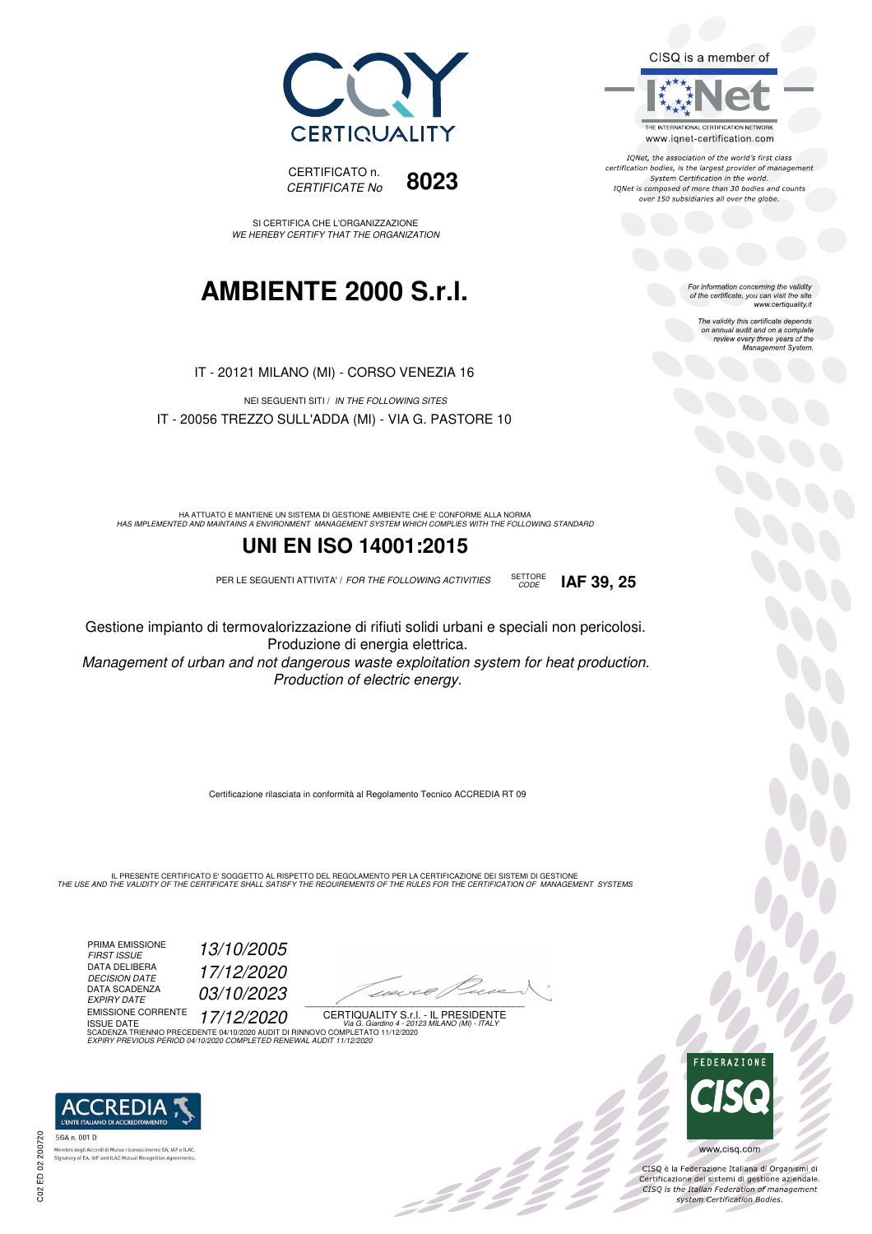CISQ is a member of



IONet, the association of the world's first class certification bodies, is the largest provider of management System Certification in the world. IQNet is composed of more than 30 bodies and counts over 150 subsidiaries all over the globe.

CODE **IAF 39, 25**

For information concerning the validity<br>of the certificate, you can visit the site<br>www.certiquality.it

The validity this certificate depends on annual audit and on a complete review every three years of the Management System.





CISQ è la Federazione Italiana di Organismi di Certificazione dei sistemi di gestione aziendale.<br>CISQ is the Italian Federation of management system Certification Bodies.





SI CERTIFICA CHE L'ORGANIZZAZIONE WE HEREBY CERTIFY THAT THE ORGANIZATION

## **AMBIENTE 2000 S.r.l.**

IT - 20121 MILANO (MI) - CORSO VENEZIA 16

NEI SEGUENTI SITI / IN THE FOLLOWING SITES IT - 20056 TREZZO SULL'ADDA (MI) - VIA G. PASTORE 10

HA ATTUATO E MANTIENE UN SISTEMA DI GESTIONE AMBIENTE CHE E' CONFORME ALLA NORMA<br>HAS IMPLEMENTED AND MAINTAINS A ENVIRONMENT MANAGEMENT SYSTEM WHICH COMPLIES WITH THE FOLLOWING STANDARD

### **UNI EN ISO 14001:2015**

PER LE SEGUENTI ATTIVITA' / FOR THE FOLLOWING ACTIVITIES SETTORE

Gestione impianto di termovalorizzazione di rifiuti solidi urbani e speciali non pericolosi. Produzione di energia elettrica.

Management of urban and not dangerous waste exploitation system for heat production. Production of electric energy.

Certificazione rilasciata in conformità al Regolamento Tecnico ACCREDIA RT 09

IL PRESENTE CERTIFICATO E' SOGGETTO AL RISPETTO DEL REGOLAMENTO PER LA CERTIFICAZIONE DEI SISTEMI DI GESTIONE<br>THE USE AND THE VALIDITY OF THE CERTIFICATE SHALL SATISFY THE REQUIREMENTS OF THE RULES FOR THE CERTIFICATION OF

PRIMA EMISSIONE FIRST ISSUE 13/10/2005 DATA DELIBERA DECISION DATE 17/12/2020 DECISION DATE<br>DATA SCADENZA<br>EXPIRY DATE 03/10/2023 EMISSIONE CORRENTE ISSUE DATE 17/12/2020

1120×6/1  $\overline{\phantom{a}}$ 

, 142 p

CERTIQUALITY S.r.l. - IL PRESIDENTE ISSUE DATE<br>SCADENZA TRIENNIO PRECEDENTE 04/10/2020 AUDIT DI RINNOVO COMPLETATO 11/12/2020 EXPIRY PREVIOUS PERIOD 04/10/2020 COMPLETED RENEWAL AUDIT 11/12/2020



mento EA, IAF e ILAC Membro degli Accordi di Mutuo ricon **Signatory of EA, IAF and ILAC Mutual Recognition Age** 

C02 ED 02 200720